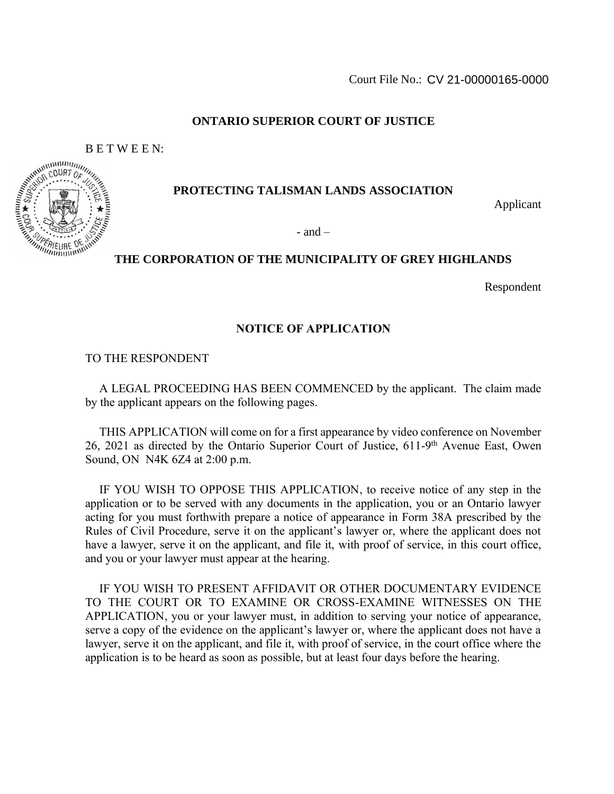## **ONTARIO SUPERIOR COURT OF JUSTICE**

# **PROTECTING TALISMAN LANDS ASSOCIATION**

Applicant

- and  $-$ 

# **THE CORPORATION OF THE MUNICIPALITY OF GREY HIGHLANDS**

Respondent

### **NOTICE OF APPLICATION**

TO THE RESPONDENT

A LEGAL PROCEEDING HAS BEEN COMMENCED by the applicant. The claim made by the applicant appears on the following pages.

THIS APPLICATION will come on for a first appearance by video conference on November 26, 2021 as directed by the Ontario Superior Court of Justice, 611-9<sup>th</sup> Avenue East, Owen Sound, ON N4K 6Z4 at 2:00 p.m.

IF YOU WISH TO OPPOSE THIS APPLICATION, to receive notice of any step in the application or to be served with any documents in the application, you or an Ontario lawyer acting for you must forthwith prepare a notice of appearance in Form 38A prescribed by the Rules of Civil Procedure, serve it on the applicant's lawyer or, where the applicant does not have a lawyer, serve it on the applicant, and file it, with proof of service, in this court office, and you or your lawyer must appear at the hearing.

IF YOU WISH TO PRESENT AFFIDAVIT OR OTHER DOCUMENTARY EVIDENCE TO THE COURT OR TO EXAMINE OR CROSS-EXAMINE WITNESSES ON THE APPLICATION, you or your lawyer must, in addition to serving your notice of appearance, serve a copy of the evidence on the applicant's lawyer or, where the applicant does not have a lawyer, serve it on the applicant, and file it, with proof of service, in the court office where the application is to be heard as soon as possible, but at least four days before the hearing.

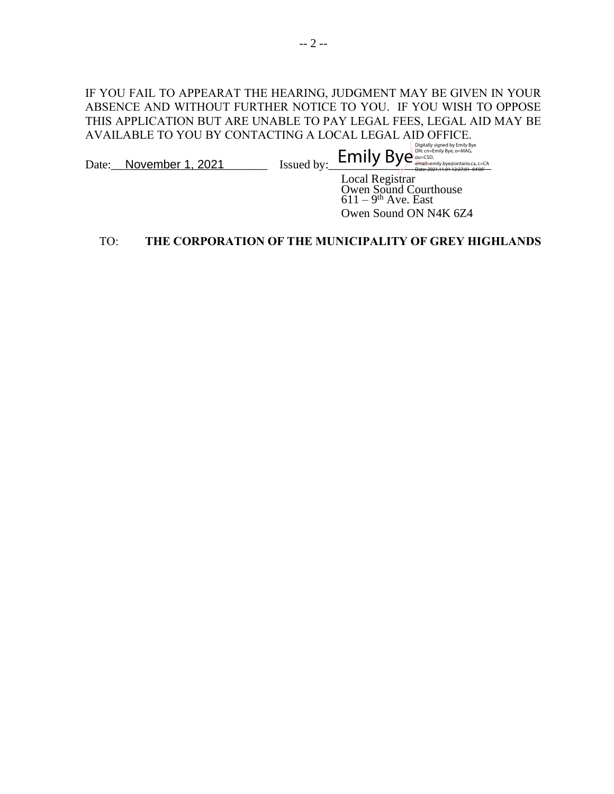# IF YOU FAIL TO APPEARAT THE HEARING, JUDGMENT MAY BE GIVEN IN YOUR ABSENCE AND WITHOUT FURTHER NOTICE TO YOU. IF YOU WISH TO OPPOSE THIS APPLICATION BUT ARE UNABLE TO PAY LEGAL FEES, LEGAL AID MAY BE AVAILABLE TO YOU BY CONTACTING A LOCAL LEGAL AID OFFICE.  $\text{Date:}\_\_\_\_\_\_\_\_\_\_\_\_\_\_\_\_\_\_\_\_\_\_$ Digitally signed by Emily Bye DN: cn=Emily Bye, o=MAG,

Local Registrar Owen Sound Courthouse  $611 - 9$ <sup>th</sup> Ave. East Owen Sound ON N4K 6Z4

### TO: **THE CORPORATION OF THE MUNICIPALITY OF GREY HIGHLANDS**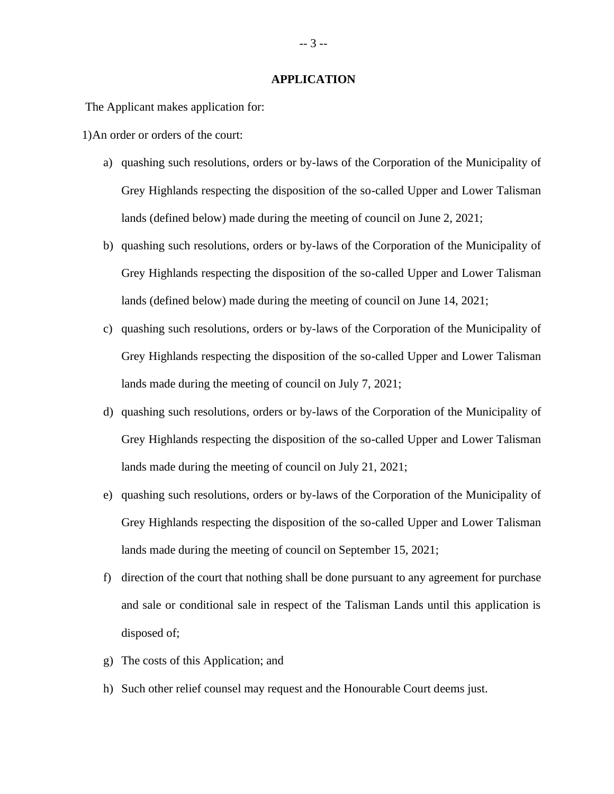#### **APPLICATION**

The Applicant makes application for:

1)An order or orders of the court:

- a) quashing such resolutions, orders or by-laws of the Corporation of the Municipality of Grey Highlands respecting the disposition of the so-called Upper and Lower Talisman lands (defined below) made during the meeting of council on June 2, 2021;
- b) quashing such resolutions, orders or by-laws of the Corporation of the Municipality of Grey Highlands respecting the disposition of the so-called Upper and Lower Talisman lands (defined below) made during the meeting of council on June 14, 2021;
- c) quashing such resolutions, orders or by-laws of the Corporation of the Municipality of Grey Highlands respecting the disposition of the so-called Upper and Lower Talisman lands made during the meeting of council on July 7, 2021;
- d) quashing such resolutions, orders or by-laws of the Corporation of the Municipality of Grey Highlands respecting the disposition of the so-called Upper and Lower Talisman lands made during the meeting of council on July 21, 2021;
- e) quashing such resolutions, orders or by-laws of the Corporation of the Municipality of Grey Highlands respecting the disposition of the so-called Upper and Lower Talisman lands made during the meeting of council on September 15, 2021;
- f) direction of the court that nothing shall be done pursuant to any agreement for purchase and sale or conditional sale in respect of the Talisman Lands until this application is disposed of;
- g) The costs of this Application; and
- h) Such other relief counsel may request and the Honourable Court deems just.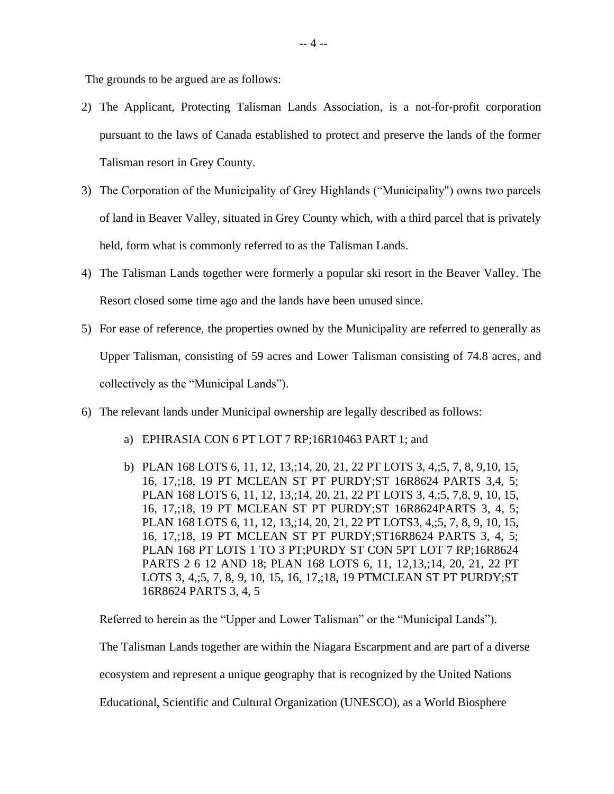The grounds to be argued are as follows:

- 2) The Applicant, Protecting Talisman Lands Association, is a not-for-profit corporation pursuant to the laws of Canada established to protect and preserve the lands of the former Talisman resort in Grey County.
- 3) The Corporation of the Municipality of Grey Highlands ("Municipality") owns two parcels of land in Beaver Valley, situated in Grey County which, with a third parcel that is privately held, form what is commonly referred to as the Talisman Lands.
- 4) The Talisman Lands together were formerly a popular ski resort in the Beaver Valley. The Resort closed some time ago and the lands have been unused since.
- 5) For ease of reference, the properties owned by the Municipality are referred to generally as Upper Talisman, consisting of 59 acres and Lower Talisman consisting of 74.8 acres, and collectively as the "Municipal Lands").
- 6) The relevant lands under Municipal ownership are legally described as follows:
	- a) EPHRASIA CON 6 PT LOT 7 RP;16R10463 PART 1; and
	- b) PLAN 168 LOTS 6, 11, 12, 13,;14, 20, 21, 22 PT LOTS 3, 4,;5, 7, 8, 9,10, 15, 16, 17,;18, 19 PT MCLEAN ST PT PURDY;ST 16R8624 PARTS 3,4, 5; PLAN 168 LOTS 6, 11, 12, 13,;14, 20, 21, 22 PT LOTS 3, 4,;5, 7,8, 9, 10, 15, 16, 17,;18, 19 PT MCLEAN ST PT PURDY;ST 16R8624PARTS 3, 4, 5; PLAN 168 LOTS 6, 11, 12, 13,;14, 20, 21, 22 PT LOTS3, 4,;5, 7, 8, 9, 10, 15, 16, 17,;18, 19 PT MCLEAN ST PT PURDY;ST16R8624 PARTS 3, 4, 5; PLAN 168 PT LOTS 1 TO 3 PT;PURDY ST CON 5PT LOT 7 RP;16R8624 PARTS 2 6 12 AND 18; PLAN 168 LOTS 6, 11, 12,13,;14, 20, 21, 22 PT LOTS 3, 4,;5, 7, 8, 9, 10, 15, 16, 17,;18, 19 PTMCLEAN ST PT PURDY;ST 16R8624 PARTS 3, 4, 5

Referred to herein as the "Upper and Lower Talisman" or the "Municipal Lands").

The Talisman Lands together are within the Niagara Escarpment and are part of a diverse

ecosystem and represent a unique geography that is recognized by the United Nations

Educational, Scientific and Cultural Organization (UNESCO), as a World Biosphere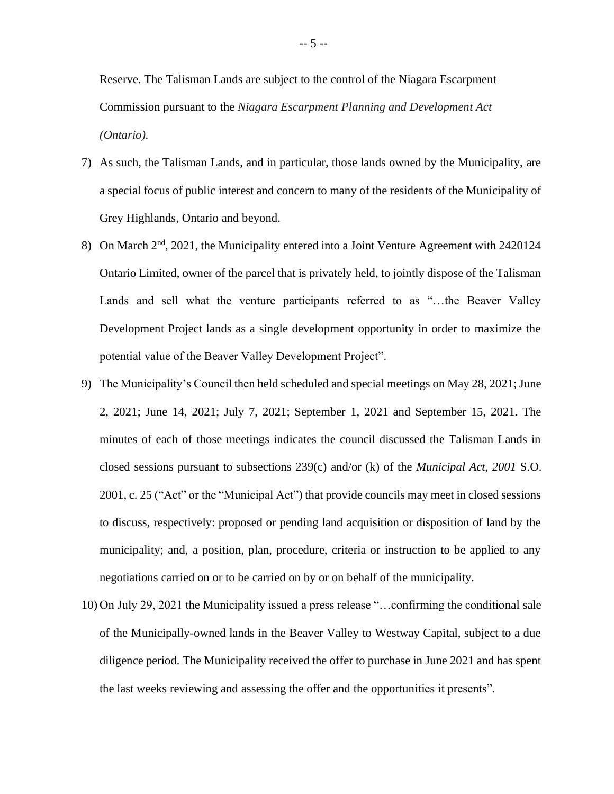Reserve. The Talisman Lands are subject to the control of the Niagara Escarpment Commission pursuant to the *Niagara Escarpment Planning and Development Act (Ontario).*

- 7) As such, the Talisman Lands, and in particular, those lands owned by the Municipality, are a special focus of public interest and concern to many of the residents of the Municipality of Grey Highlands, Ontario and beyond.
- 8) On March 2<sup>nd</sup>, 2021, the Municipality entered into a Joint Venture Agreement with 2420124 Ontario Limited, owner of the parcel that is privately held, to jointly dispose of the Talisman Lands and sell what the venture participants referred to as "…the Beaver Valley Development Project lands as a single development opportunity in order to maximize the potential value of the Beaver Valley Development Project".
- 9) The Municipality's Council then held scheduled and special meetings on May 28, 2021; June 2, 2021; June 14, 2021; July 7, 2021; September 1, 2021 and September 15, 2021. The minutes of each of those meetings indicates the council discussed the Talisman Lands in closed sessions pursuant to subsections 239(c) and/or (k) of the *Municipal Act*, *2001* S.O. 2001, c. 25 ("Act" or the "Municipal Act") that provide councils may meet in closed sessions to discuss, respectively: proposed or pending land acquisition or disposition of land by the municipality; and, a position, plan, procedure, criteria or instruction to be applied to any negotiations carried on or to be carried on by or on behalf of the municipality.
- 10) On July 29, 2021 the Municipality issued a press release "…confirming the conditional sale of the Municipally-owned lands in the Beaver Valley to Westway Capital, subject to a due diligence period. The Municipality received the offer to purchase in June 2021 and has spent the last weeks reviewing and assessing the offer and the opportunities it presents".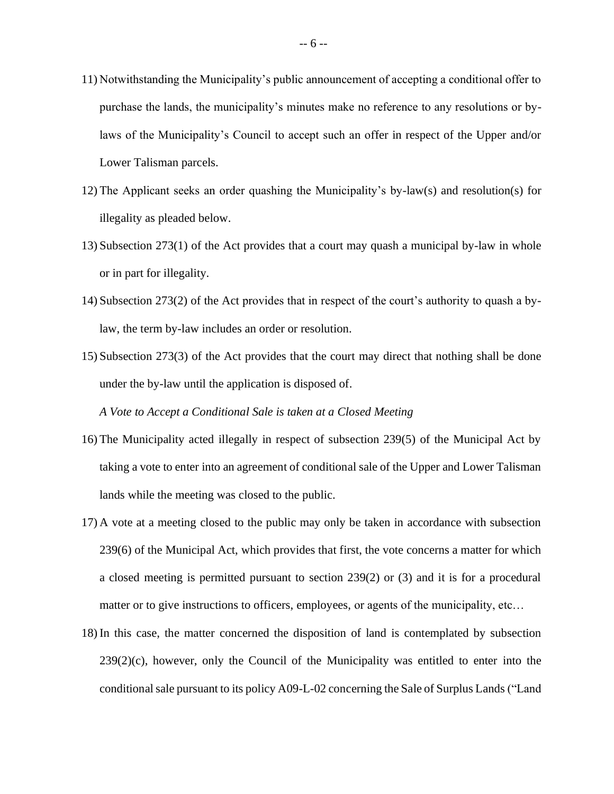- 11) Notwithstanding the Municipality's public announcement of accepting a conditional offer to purchase the lands, the municipality's minutes make no reference to any resolutions or bylaws of the Municipality's Council to accept such an offer in respect of the Upper and/or Lower Talisman parcels.
- 12) The Applicant seeks an order quashing the Municipality's by-law(s) and resolution(s) for illegality as pleaded below.
- 13) Subsection 273(1) of the Act provides that a court may quash a municipal by-law in whole or in part for illegality.
- 14) Subsection 273(2) of the Act provides that in respect of the court's authority to quash a bylaw, the term by-law includes an order or resolution.
- 15) Subsection 273(3) of the Act provides that the court may direct that nothing shall be done under the by-law until the application is disposed of.

*A Vote to Accept a Conditional Sale is taken at a Closed Meeting*

- 16) The Municipality acted illegally in respect of subsection 239(5) of the Municipal Act by taking a vote to enter into an agreement of conditional sale of the Upper and Lower Talisman lands while the meeting was closed to the public.
- 17) A vote at a meeting closed to the public may only be taken in accordance with subsection 239(6) of the Municipal Act, which provides that first, the vote concerns a matter for which a closed meeting is permitted pursuant to section 239(2) or (3) and it is for a procedural matter or to give instructions to officers, employees, or agents of the municipality, etc…
- 18) In this case, the matter concerned the disposition of land is contemplated by subsection  $239(2)(c)$ , however, only the Council of the Municipality was entitled to enter into the conditional sale pursuant to its policy A09-L-02 concerning the Sale of Surplus Lands ("Land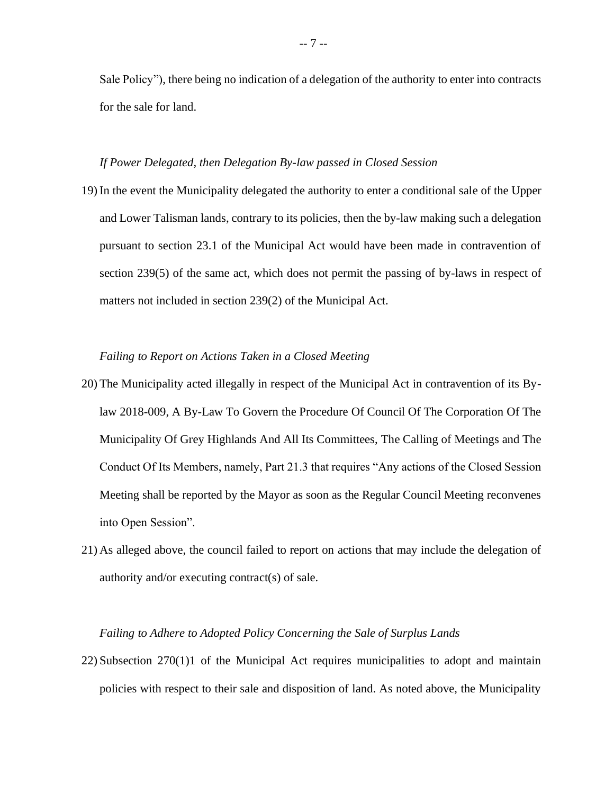Sale Policy"), there being no indication of a delegation of the authority to enter into contracts for the sale for land.

#### *If Power Delegated, then Delegation By-law passed in Closed Session*

19) In the event the Municipality delegated the authority to enter a conditional sale of the Upper and Lower Talisman lands, contrary to its policies, then the by-law making such a delegation pursuant to section 23.1 of the Municipal Act would have been made in contravention of section 239(5) of the same act, which does not permit the passing of by-laws in respect of matters not included in section 239(2) of the Municipal Act.

#### *Failing to Report on Actions Taken in a Closed Meeting*

- 20) The Municipality acted illegally in respect of the Municipal Act in contravention of its Bylaw 2018-009, A By-Law To Govern the Procedure Of Council Of The Corporation Of The Municipality Of Grey Highlands And All Its Committees, The Calling of Meetings and The Conduct Of Its Members, namely, Part 21.3 that requires "Any actions of the Closed Session Meeting shall be reported by the Mayor as soon as the Regular Council Meeting reconvenes into Open Session".
- 21) As alleged above, the council failed to report on actions that may include the delegation of authority and/or executing contract(s) of sale.

#### *Failing to Adhere to Adopted Policy Concerning the Sale of Surplus Lands*

22) Subsection 270(1)1 of the Municipal Act requires municipalities to adopt and maintain policies with respect to their sale and disposition of land. As noted above, the Municipality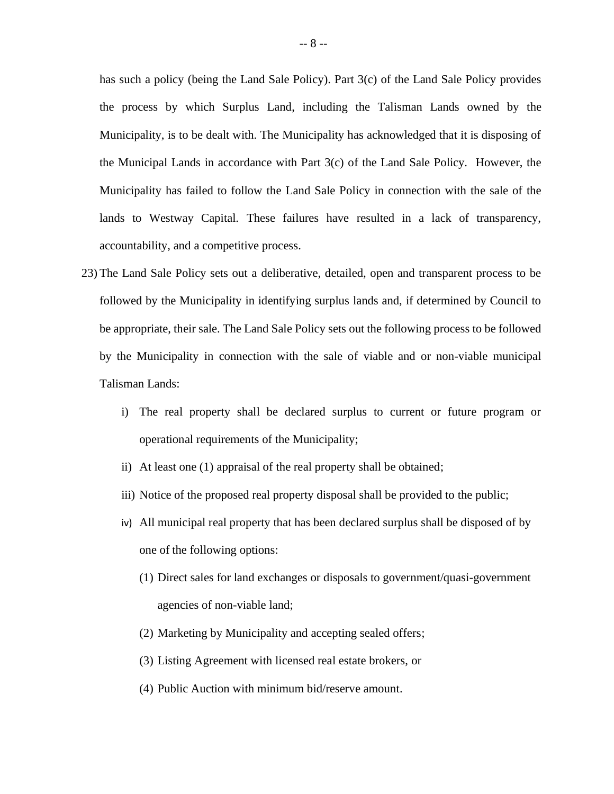has such a policy (being the Land Sale Policy). Part 3(c) of the Land Sale Policy provides the process by which Surplus Land, including the Talisman Lands owned by the Municipality, is to be dealt with. The Municipality has acknowledged that it is disposing of the Municipal Lands in accordance with Part 3(c) of the Land Sale Policy. However, the Municipality has failed to follow the Land Sale Policy in connection with the sale of the lands to Westway Capital. These failures have resulted in a lack of transparency, accountability, and a competitive process.

- 23) The Land Sale Policy sets out a deliberative, detailed, open and transparent process to be followed by the Municipality in identifying surplus lands and, if determined by Council to be appropriate, their sale. The Land Sale Policy sets out the following process to be followed by the Municipality in connection with the sale of viable and or non-viable municipal Talisman Lands:
	- i) The real property shall be declared surplus to current or future program or operational requirements of the Municipality;
	- ii) At least one (1) appraisal of the real property shall be obtained;
	- iii) Notice of the proposed real property disposal shall be provided to the public;
	- iv) All municipal real property that has been declared surplus shall be disposed of by one of the following options:
		- (1) Direct sales for land exchanges or disposals to government/quasi-government agencies of non-viable land;
		- (2) Marketing by Municipality and accepting sealed offers;
		- (3) Listing Agreement with licensed real estate brokers, or
		- (4) Public Auction with minimum bid/reserve amount.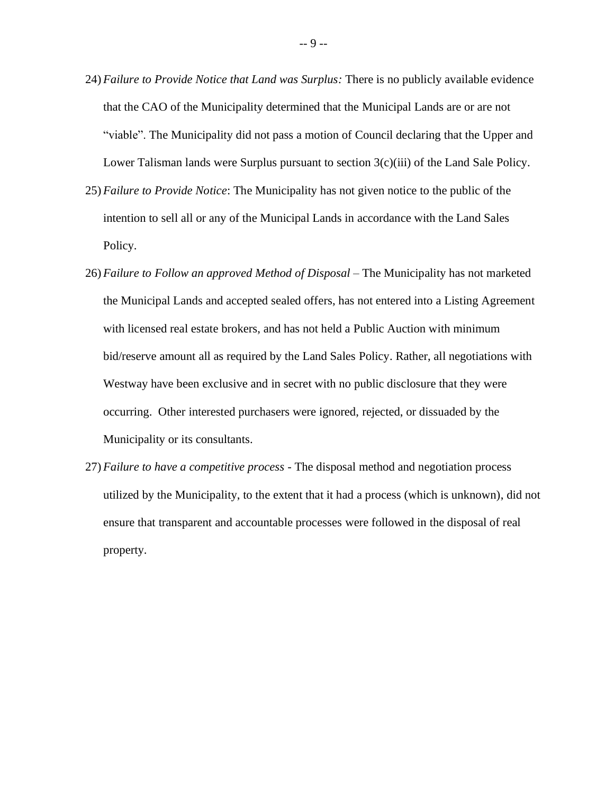- 24) *Failure to Provide Notice that Land was Surplus:* There is no publicly available evidence that the CAO of the Municipality determined that the Municipal Lands are or are not "viable". The Municipality did not pass a motion of Council declaring that the Upper and Lower Talisman lands were Surplus pursuant to section  $3(c)(iii)$  of the Land Sale Policy.
- 25) *Failure to Provide Notice*: The Municipality has not given notice to the public of the intention to sell all or any of the Municipal Lands in accordance with the Land Sales Policy.
- 26) *Failure to Follow an approved Method of Disposal –* The Municipality has not marketed the Municipal Lands and accepted sealed offers, has not entered into a Listing Agreement with licensed real estate brokers, and has not held a Public Auction with minimum bid/reserve amount all as required by the Land Sales Policy. Rather, all negotiations with Westway have been exclusive and in secret with no public disclosure that they were occurring. Other interested purchasers were ignored, rejected, or dissuaded by the Municipality or its consultants.
- 27) *Failure to have a competitive process -* The disposal method and negotiation process utilized by the Municipality, to the extent that it had a process (which is unknown), did not ensure that transparent and accountable processes were followed in the disposal of real property.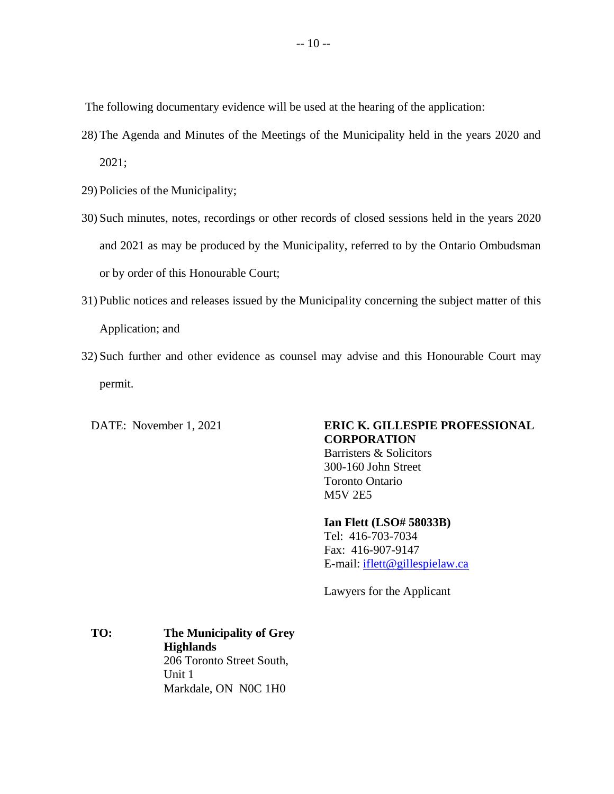The following documentary evidence will be used at the hearing of the application:

- 28) The Agenda and Minutes of the Meetings of the Municipality held in the years 2020 and 2021;
- 29) Policies of the Municipality;
- 30) Such minutes, notes, recordings or other records of closed sessions held in the years 2020 and 2021 as may be produced by the Municipality, referred to by the Ontario Ombudsman or by order of this Honourable Court;
- 31) Public notices and releases issued by the Municipality concerning the subject matter of this Application; and
- 32) Such further and other evidence as counsel may advise and this Honourable Court may permit.

DATE: November 1, 2021

# **ERIC K. GILLESPIE PROFESSIONAL CORPORATION**

Barristers & Solicitors 300-160 John Street Toronto Ontario M5V 2E5

**Ian Flett (LSO# 58033B)**

Tel: 416-703-7034 Fax: 416-907-9147 E-mail: [iflett@gillespielaw.ca](mailto:iflett@gillespielaw.ca)

Lawyers for the Applicant

**TO: The Municipality of Grey Highlands** 206 Toronto Street South, Unit 1 Markdale, ON N0C 1H0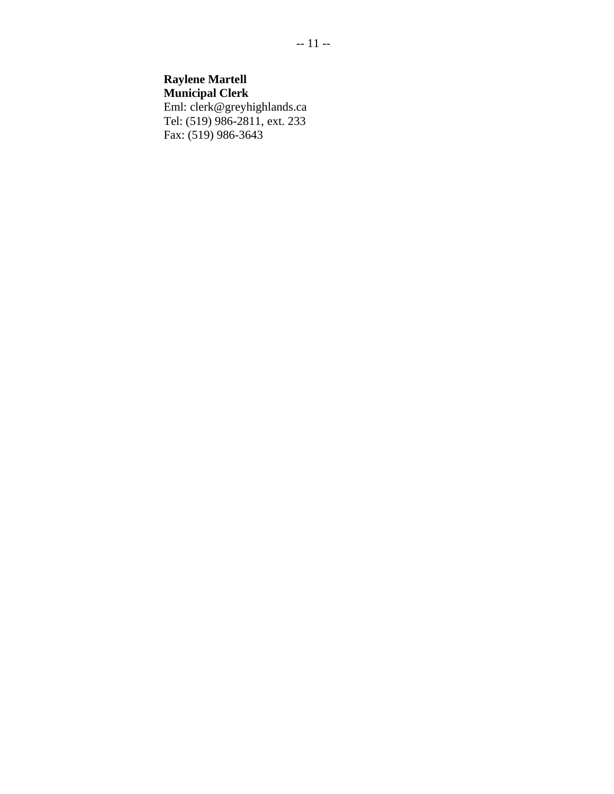# **Raylene Martell**

**Municipal Clerk** Eml: clerk@greyhighlands.ca Tel: (519) 986-2811, ext. 233 Fax: (519) 986-3643